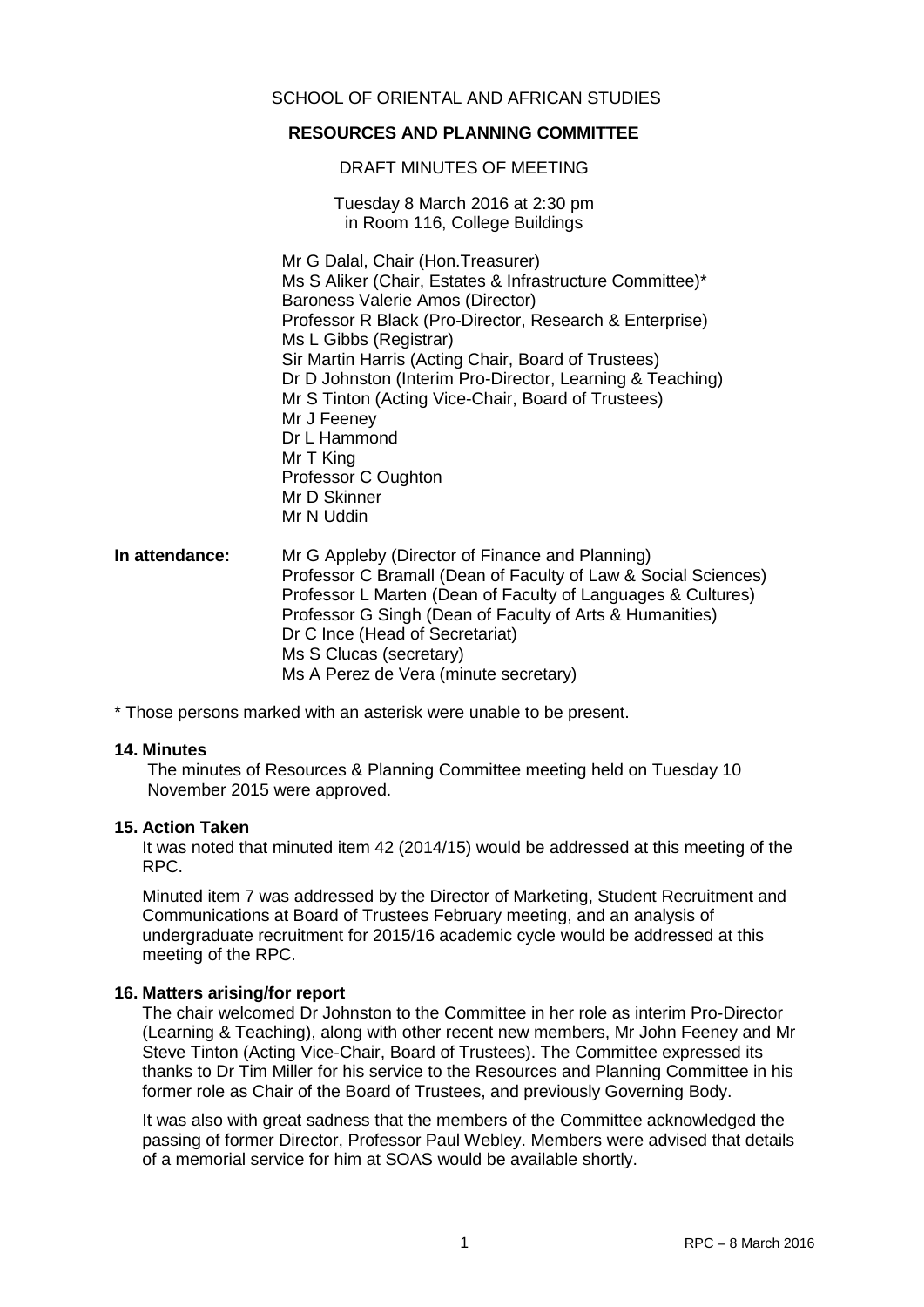# SCHOOL OF ORIENTAL AND AFRICAN STUDIES

# **RESOURCES AND PLANNING COMMITTEE**

#### DRAFT MINUTES OF MEETING

Tuesday 8 March 2016 at 2:30 pm in Room 116, College Buildings

Mr G Dalal, Chair (Hon.Treasurer) Ms S Aliker (Chair, Estates & Infrastructure Committee)\* Baroness Valerie Amos (Director) Professor R Black (Pro-Director, Research & Enterprise) Ms L Gibbs (Registrar) Sir Martin Harris (Acting Chair, Board of Trustees) Dr D Johnston (Interim Pro-Director, Learning & Teaching) Mr S Tinton (Acting Vice-Chair, Board of Trustees) Mr J Feeney Dr L Hammond Mr T King Professor C Oughton Mr D Skinner Mr N Uddin

## **In attendance:** Mr G Appleby (Director of Finance and Planning) Professor C Bramall (Dean of Faculty of Law & Social Sciences) Professor L Marten (Dean of Faculty of Languages & Cultures) Professor G Singh (Dean of Faculty of Arts & Humanities) Dr C Ince (Head of Secretariat) Ms S Clucas (secretary) Ms A Perez de Vera (minute secretary)

\* Those persons marked with an asterisk were unable to be present.

#### **14. Minutes**

The minutes of Resources & Planning Committee meeting held on Tuesday 10 November 2015 were approved.

#### **15. Action Taken**

It was noted that minuted item 42 (2014/15) would be addressed at this meeting of the RPC.

Minuted item 7 was addressed by the Director of Marketing, Student Recruitment and Communications at Board of Trustees February meeting, and an analysis of undergraduate recruitment for 2015/16 academic cycle would be addressed at this meeting of the RPC.

#### **16. Matters arising/for report**

The chair welcomed Dr Johnston to the Committee in her role as interim Pro-Director (Learning & Teaching), along with other recent new members, Mr John Feeney and Mr Steve Tinton (Acting Vice-Chair, Board of Trustees). The Committee expressed its thanks to Dr Tim Miller for his service to the Resources and Planning Committee in his former role as Chair of the Board of Trustees, and previously Governing Body.

It was also with great sadness that the members of the Committee acknowledged the passing of former Director, Professor Paul Webley. Members were advised that details of a memorial service for him at SOAS would be available shortly.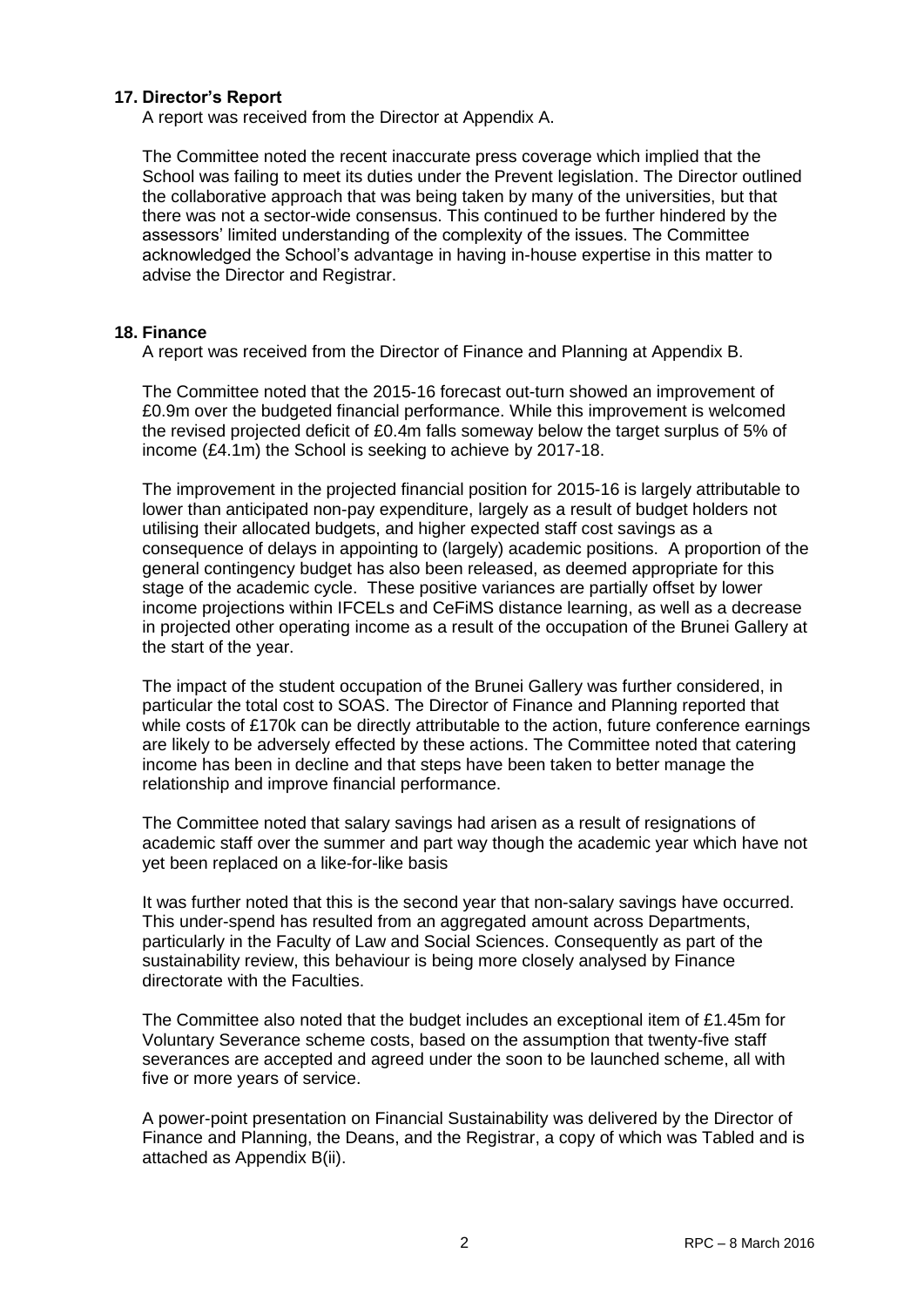## **17. Director's Report**

A report was received from the Director at Appendix A.

The Committee noted the recent inaccurate press coverage which implied that the School was failing to meet its duties under the Prevent legislation. The Director outlined the collaborative approach that was being taken by many of the universities, but that there was not a sector-wide consensus. This continued to be further hindered by the assessors' limited understanding of the complexity of the issues. The Committee acknowledged the School's advantage in having in-house expertise in this matter to advise the Director and Registrar.

## **18. Finance**

A report was received from the Director of Finance and Planning at Appendix B.

The Committee noted that the 2015-16 forecast out-turn showed an improvement of £0.9m over the budgeted financial performance. While this improvement is welcomed the revised projected deficit of £0.4m falls someway below the target surplus of 5% of income (£4.1m) the School is seeking to achieve by 2017-18.

The improvement in the projected financial position for 2015-16 is largely attributable to lower than anticipated non-pay expenditure, largely as a result of budget holders not utilising their allocated budgets, and higher expected staff cost savings as a consequence of delays in appointing to (largely) academic positions. A proportion of the general contingency budget has also been released, as deemed appropriate for this stage of the academic cycle. These positive variances are partially offset by lower income projections within IFCELs and CeFiMS distance learning, as well as a decrease in projected other operating income as a result of the occupation of the Brunei Gallery at the start of the year.

The impact of the student occupation of the Brunei Gallery was further considered, in particular the total cost to SOAS. The Director of Finance and Planning reported that while costs of £170k can be directly attributable to the action, future conference earnings are likely to be adversely effected by these actions. The Committee noted that catering income has been in decline and that steps have been taken to better manage the relationship and improve financial performance.

The Committee noted that salary savings had arisen as a result of resignations of academic staff over the summer and part way though the academic year which have not yet been replaced on a like-for-like basis

It was further noted that this is the second year that non-salary savings have occurred. This under-spend has resulted from an aggregated amount across Departments, particularly in the Faculty of Law and Social Sciences. Consequently as part of the sustainability review, this behaviour is being more closely analysed by Finance directorate with the Faculties.

The Committee also noted that the budget includes an exceptional item of £1.45m for Voluntary Severance scheme costs, based on the assumption that twenty-five staff severances are accepted and agreed under the soon to be launched scheme, all with five or more years of service.

A power-point presentation on Financial Sustainability was delivered by the Director of Finance and Planning, the Deans, and the Registrar, a copy of which was Tabled and is attached as Appendix B(ii).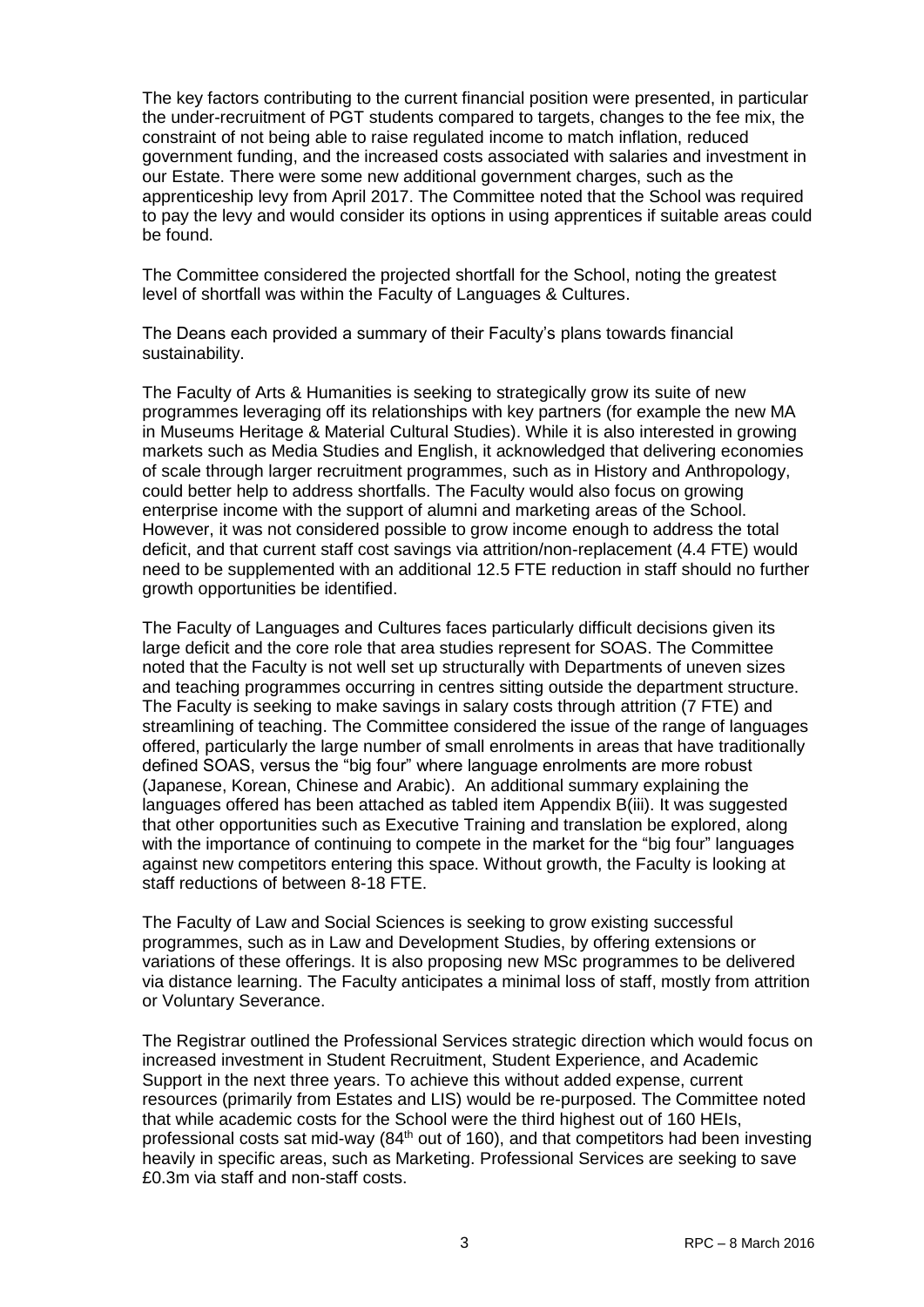The key factors contributing to the current financial position were presented, in particular the under-recruitment of PGT students compared to targets, changes to the fee mix, the constraint of not being able to raise regulated income to match inflation, reduced government funding, and the increased costs associated with salaries and investment in our Estate. There were some new additional government charges, such as the apprenticeship levy from April 2017. The Committee noted that the School was required to pay the levy and would consider its options in using apprentices if suitable areas could be found.

The Committee considered the projected shortfall for the School, noting the greatest level of shortfall was within the Faculty of Languages & Cultures.

The Deans each provided a summary of their Faculty's plans towards financial sustainability.

The Faculty of Arts & Humanities is seeking to strategically grow its suite of new programmes leveraging off its relationships with key partners (for example the new MA in Museums Heritage & Material Cultural Studies). While it is also interested in growing markets such as Media Studies and English, it acknowledged that delivering economies of scale through larger recruitment programmes, such as in History and Anthropology, could better help to address shortfalls. The Faculty would also focus on growing enterprise income with the support of alumni and marketing areas of the School. However, it was not considered possible to grow income enough to address the total deficit, and that current staff cost savings via attrition/non-replacement (4.4 FTE) would need to be supplemented with an additional 12.5 FTE reduction in staff should no further growth opportunities be identified.

The Faculty of Languages and Cultures faces particularly difficult decisions given its large deficit and the core role that area studies represent for SOAS. The Committee noted that the Faculty is not well set up structurally with Departments of uneven sizes and teaching programmes occurring in centres sitting outside the department structure. The Faculty is seeking to make savings in salary costs through attrition (7 FTE) and streamlining of teaching. The Committee considered the issue of the range of languages offered, particularly the large number of small enrolments in areas that have traditionally defined SOAS, versus the "big four" where language enrolments are more robust (Japanese, Korean, Chinese and Arabic). An additional summary explaining the languages offered has been attached as tabled item Appendix B(iii). It was suggested that other opportunities such as Executive Training and translation be explored, along with the importance of continuing to compete in the market for the "big four" languages against new competitors entering this space. Without growth, the Faculty is looking at staff reductions of between 8-18 FTE.

The Faculty of Law and Social Sciences is seeking to grow existing successful programmes, such as in Law and Development Studies, by offering extensions or variations of these offerings. It is also proposing new MSc programmes to be delivered via distance learning. The Faculty anticipates a minimal loss of staff, mostly from attrition or Voluntary Severance.

The Registrar outlined the Professional Services strategic direction which would focus on increased investment in Student Recruitment, Student Experience, and Academic Support in the next three years. To achieve this without added expense, current resources (primarily from Estates and LIS) would be re-purposed. The Committee noted that while academic costs for the School were the third highest out of 160 HEIs, professional costs sat mid-way (84<sup>th</sup> out of 160), and that competitors had been investing heavily in specific areas, such as Marketing. Professional Services are seeking to save £0.3m via staff and non-staff costs.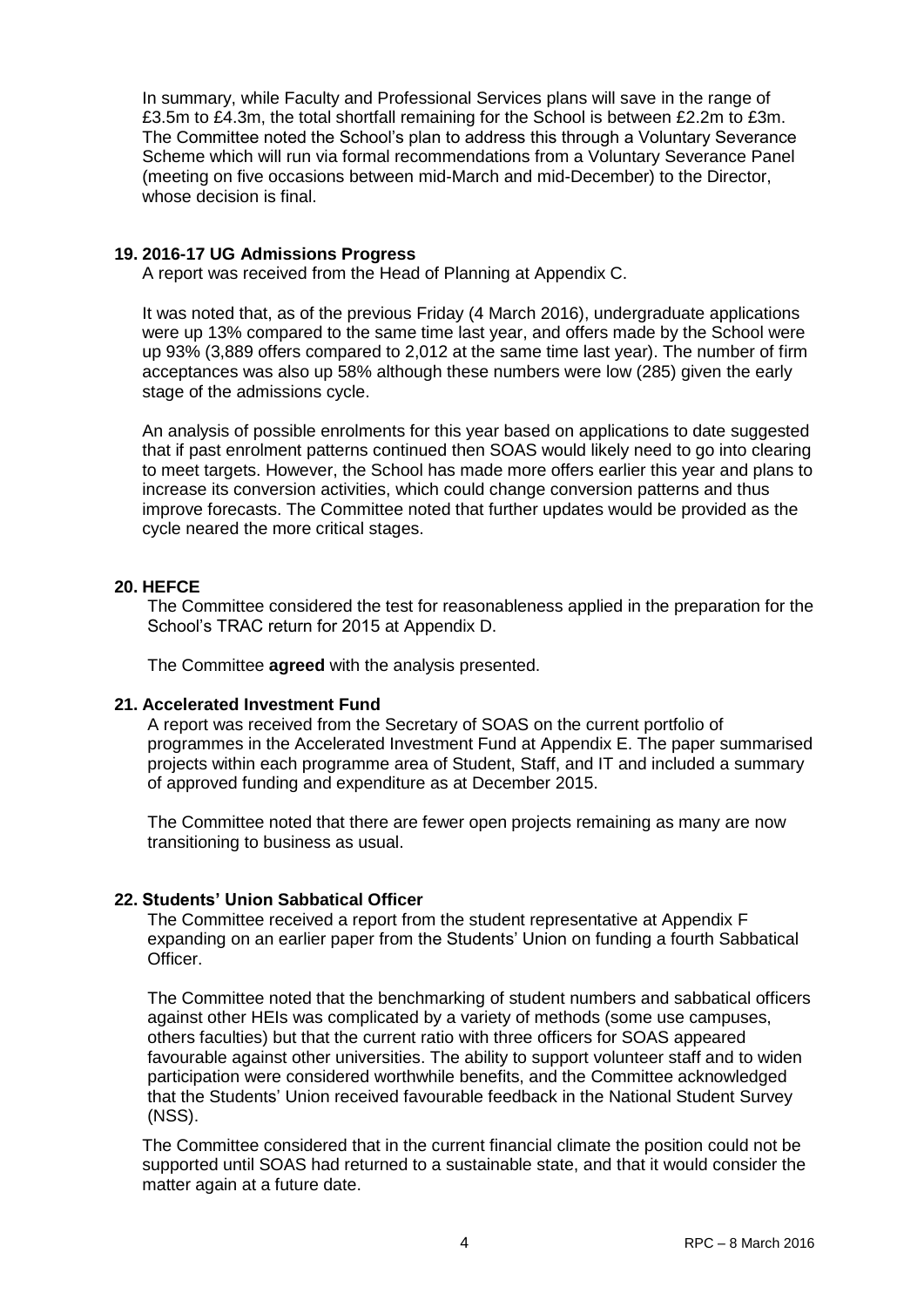In summary, while Faculty and Professional Services plans will save in the range of £3.5m to £4.3m, the total shortfall remaining for the School is between £2.2m to £3m. The Committee noted the School's plan to address this through a Voluntary Severance Scheme which will run via formal recommendations from a Voluntary Severance Panel (meeting on five occasions between mid-March and mid-December) to the Director, whose decision is final.

## **19. 2016-17 UG Admissions Progress**

A report was received from the Head of Planning at Appendix C.

It was noted that, as of the previous Friday (4 March 2016), undergraduate applications were up 13% compared to the same time last year, and offers made by the School were up 93% (3,889 offers compared to 2,012 at the same time last year). The number of firm acceptances was also up 58% although these numbers were low (285) given the early stage of the admissions cycle.

An analysis of possible enrolments for this year based on applications to date suggested that if past enrolment patterns continued then SOAS would likely need to go into clearing to meet targets. However, the School has made more offers earlier this year and plans to increase its conversion activities, which could change conversion patterns and thus improve forecasts. The Committee noted that further updates would be provided as the cycle neared the more critical stages.

# **20. HEFCE**

The Committee considered the test for reasonableness applied in the preparation for the School's TRAC return for 2015 at Appendix D.

The Committee **agreed** with the analysis presented.

#### **21. Accelerated Investment Fund**

A report was received from the Secretary of SOAS on the current portfolio of programmes in the Accelerated Investment Fund at Appendix E. The paper summarised projects within each programme area of Student, Staff, and IT and included a summary of approved funding and expenditure as at December 2015.

The Committee noted that there are fewer open projects remaining as many are now transitioning to business as usual.

# **22. Students' Union Sabbatical Officer**

The Committee received a report from the student representative at Appendix F expanding on an earlier paper from the Students' Union on funding a fourth Sabbatical Officer.

The Committee noted that the benchmarking of student numbers and sabbatical officers against other HEIs was complicated by a variety of methods (some use campuses, others faculties) but that the current ratio with three officers for SOAS appeared favourable against other universities. The ability to support volunteer staff and to widen participation were considered worthwhile benefits, and the Committee acknowledged that the Students' Union received favourable feedback in the National Student Survey (NSS).

The Committee considered that in the current financial climate the position could not be supported until SOAS had returned to a sustainable state, and that it would consider the matter again at a future date.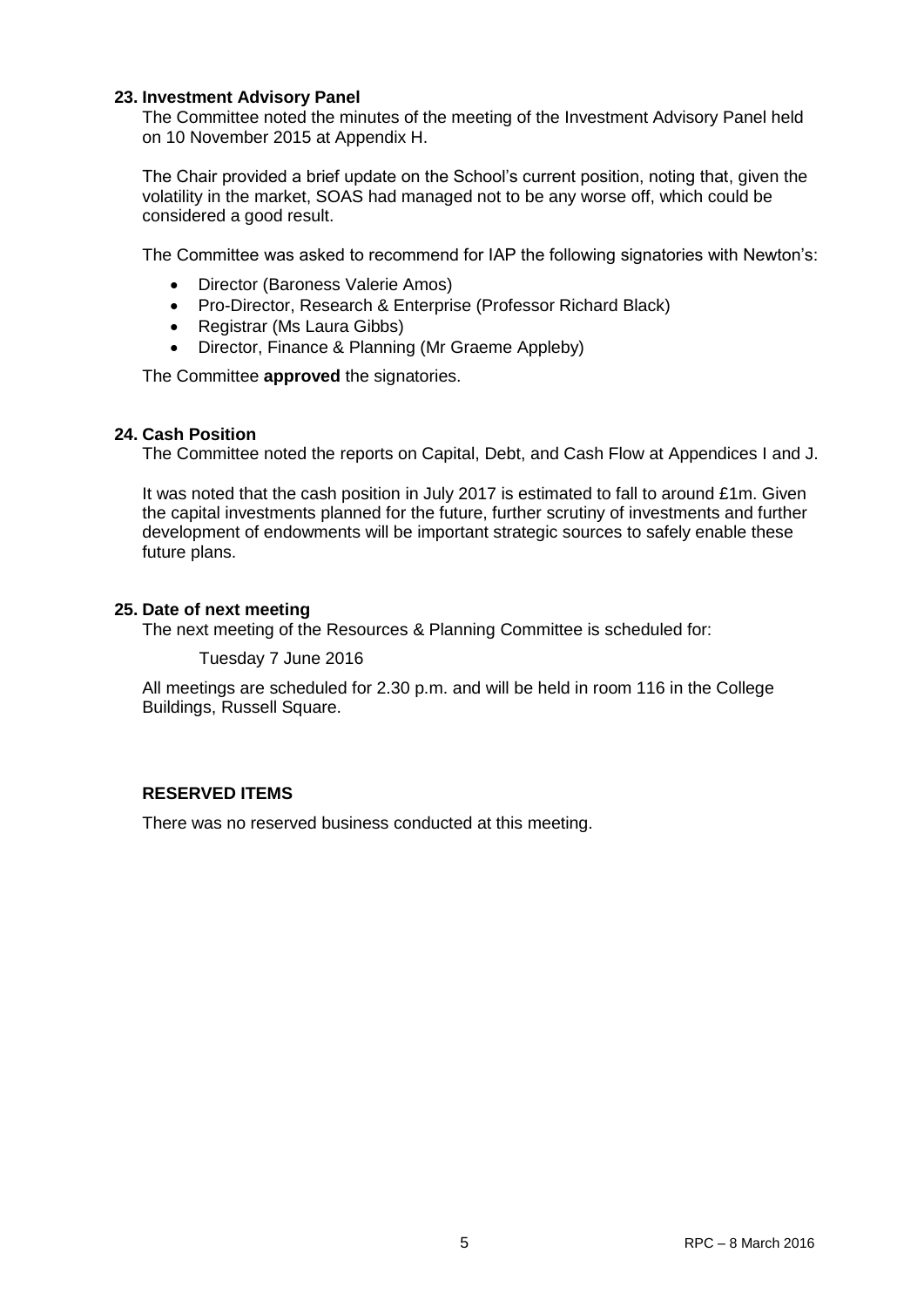## **23. Investment Advisory Panel**

The Committee noted the minutes of the meeting of the Investment Advisory Panel held on 10 November 2015 at Appendix H.

The Chair provided a brief update on the School's current position, noting that, given the volatility in the market, SOAS had managed not to be any worse off, which could be considered a good result.

The Committee was asked to recommend for IAP the following signatories with Newton's:

- Director (Baroness Valerie Amos)
- Pro-Director, Research & Enterprise (Professor Richard Black)
- Registrar (Ms Laura Gibbs)
- Director, Finance & Planning (Mr Graeme Appleby)

The Committee **approved** the signatories.

# **24. Cash Position**

The Committee noted the reports on Capital, Debt, and Cash Flow at Appendices I and J.

It was noted that the cash position in July 2017 is estimated to fall to around £1m. Given the capital investments planned for the future, further scrutiny of investments and further development of endowments will be important strategic sources to safely enable these future plans.

## **25. Date of next meeting**

The next meeting of the Resources & Planning Committee is scheduled for:

Tuesday 7 June 2016

All meetings are scheduled for 2.30 p.m. and will be held in room 116 in the College Buildings, Russell Square.

# **RESERVED ITEMS**

There was no reserved business conducted at this meeting.